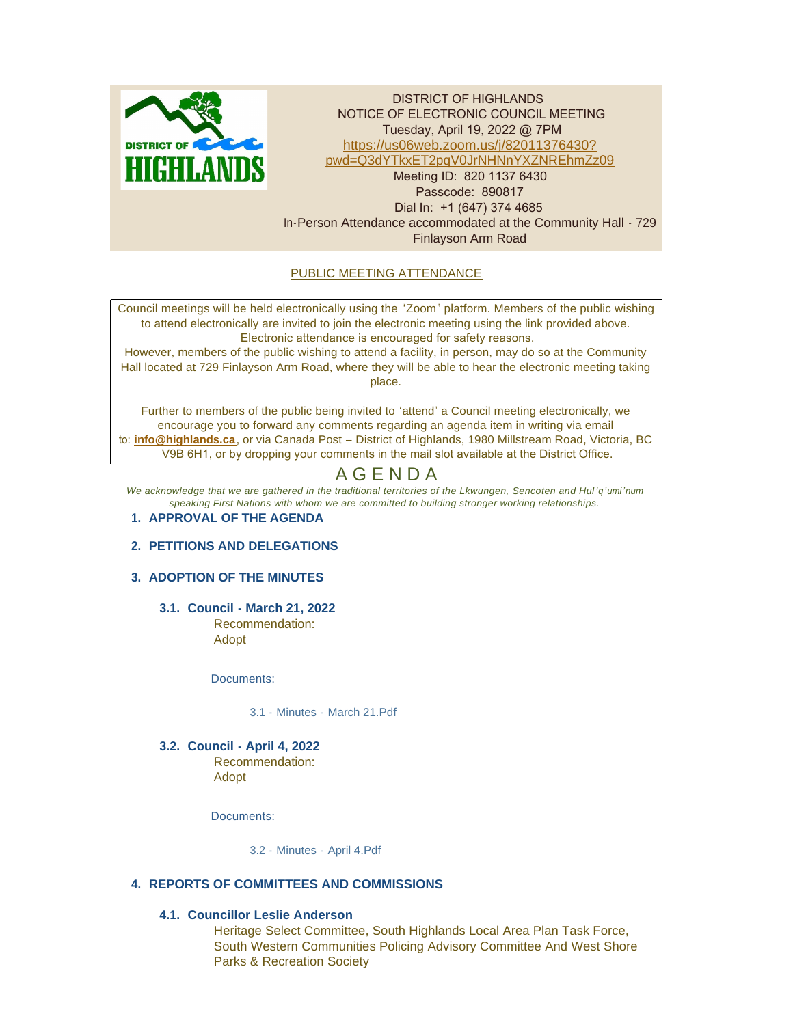

DISTRICT OF HIGHLANDS NOTICE OF ELECTRONIC COUNCIL MEETING Tuesday, April 19, 2022 @ 7PM https://us06web.zoom.us/j/82011376430? pw[d=Q3dYTkxET2pqV0JrNHNnYXZNREhmZz09](https://us06web.zoom.us/j/82011376430?pwd=Q3dYTkxET2pqV0JrNHNnYXZNREhmZz09) Meeting ID: 820 1137 6430 Passcode: 890817 Dial In: +1 (647) 374 4685 In-Person Attendance accommodated at the Community Hall - 729 Finlayson Arm Road

# PUBLIC MEETING ATTENDANCE

Council meetings will be held electronically using the "Zoom" platform. Members of the public wishing to attend electronically are invited to join the electronic meeting using the link provided above. Electronic attendance is encouraged for safety reasons.

However, members of the public wishing to attend a facility, in person, may do so at the Community Hall located at 729 Finlayson Arm Road, where they will be able to hear the electronic meeting taking place.

Further to members of the public being invited to 'attend' a Council meeting electronically, we encourage you to forward any comments regarding an agenda item in writing via email to: **[info@highlands.ca](mailto:info@highlands.ca)**, or via Canada Post – District of Highlands, 1980 Millstream Road, Victoria, BC V9B 6H1, or by dropping your comments in the mail slot available at the District Office.

# A G E N D A

*We acknowledge that we are gathered in the traditional territories of the Lkwungen, Sencoten and Hul 'q'umi'num speaking First Nations with whom we are committed to building stronger working relationships.*

## **APPROVAL OF THE AGENDA 1.**

## **PETITIONS AND DELEGATIONS 2.**

# **ADOPTION OF THE MINUTES 3.**

**Council - March 21, 2022 3.1.** Recommendation: Adopt

Documents:

[3.1 - Minutes - March 21.Pdf](https://www.highlands.ca/AgendaCenter/ViewFile/Item/7068?fileID=6704)

**Council - April 4, 2022 3.2.** Recommendation: Adopt

Documents:

[3.2 - Minutes - April 4.Pdf](https://www.highlands.ca/AgendaCenter/ViewFile/Item/7069?fileID=6703)

## **REPORTS OF COMMITTEES AND COMMISSIONS 4.**

## **Councillor Leslie Anderson 4.1.**

Heritage Select Committee, South Highlands Local Area Plan Task Force, South Western Communities Policing Advisory Committee And West Shore Parks & Recreation Society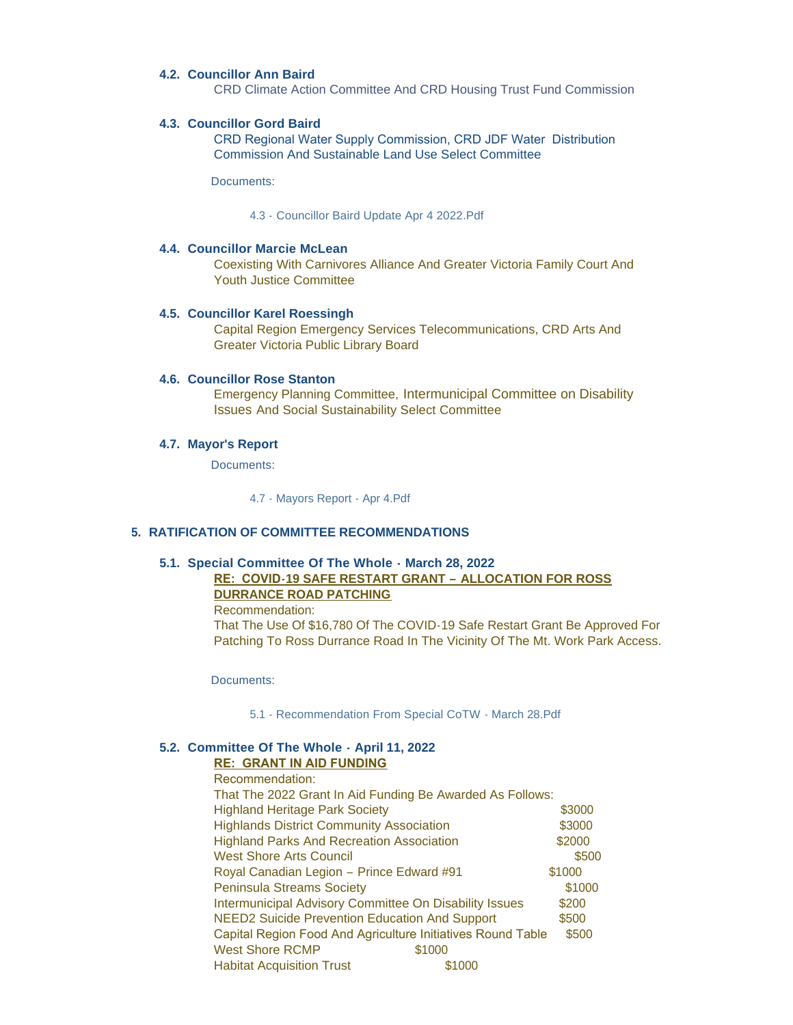### **Councillor Ann Baird 4.2.**

CRD Climate Action Committee And CRD Housing Trust Fund Commission

### **Councillor Gord Baird 4.3.**

CRD Regional Water Supply Commission, CRD JDF Water Distribution Commission And Sustainable Land Use Select Committee

Documents:

[4.3 - Councillor Baird Update Apr 4 2022.Pdf](https://www.highlands.ca/AgendaCenter/ViewFile/Item/7083?fileID=6707)

#### **Councillor Marcie McLean 4.4.**

Coexisting With Carnivores Alliance And Greater Victoria Family Court And Youth Justice Committee

#### **Councillor Karel Roessingh 4.5.**

Capital Region Emergency Services Telecommunications, CRD Arts And Greater Victoria Public Library Board

#### **4.6. Councillor Rose Stanton**

Emergency Planning Committee, Intermunicipal Committee on Disability Issues And Social Sustainability Select Committee

#### **Mayor's Report 4.7.**

Documents:

4.7 - [Mayors Report -](https://www.highlands.ca/AgendaCenter/ViewFile/Item/7084?fileID=6708) Apr 4.Pdf

#### **RATIFICATION OF COMMITTEE RECOMMENDATIONS 5.**

#### **Special Committee Of The Whole - March 28, 2022 5.1.**

# **RE: COVID-19 SAFE RESTART GRANT – ALLOCATION FOR ROSS DURRANCE ROAD PATCHING**

Recommendation:

That The Use Of \$16,780 Of The COVID-19 Safe Restart Grant Be Approved For Patching To Ross Durrance Road In The Vicinity Of The Mt. Work Park Access.

Documents:

5.1 - [Recommendation From Special CoTW -](https://www.highlands.ca/AgendaCenter/ViewFile/Item/7070?fileID=6709) March 28.Pdf

### **Committee Of The Whole - April 11, 2022 5.2.**

### **RE: GRANT IN AID FUNDING**

| That The 2022 Grant In Aid Funding Be Awarded As Follows:            |  |  |
|----------------------------------------------------------------------|--|--|
| \$3000                                                               |  |  |
| \$3000                                                               |  |  |
| \$2000                                                               |  |  |
| \$500                                                                |  |  |
| \$1000                                                               |  |  |
| \$1000                                                               |  |  |
| \$200                                                                |  |  |
| \$500                                                                |  |  |
| Capital Region Food And Agriculture Initiatives Round Table<br>\$500 |  |  |
|                                                                      |  |  |
|                                                                      |  |  |
|                                                                      |  |  |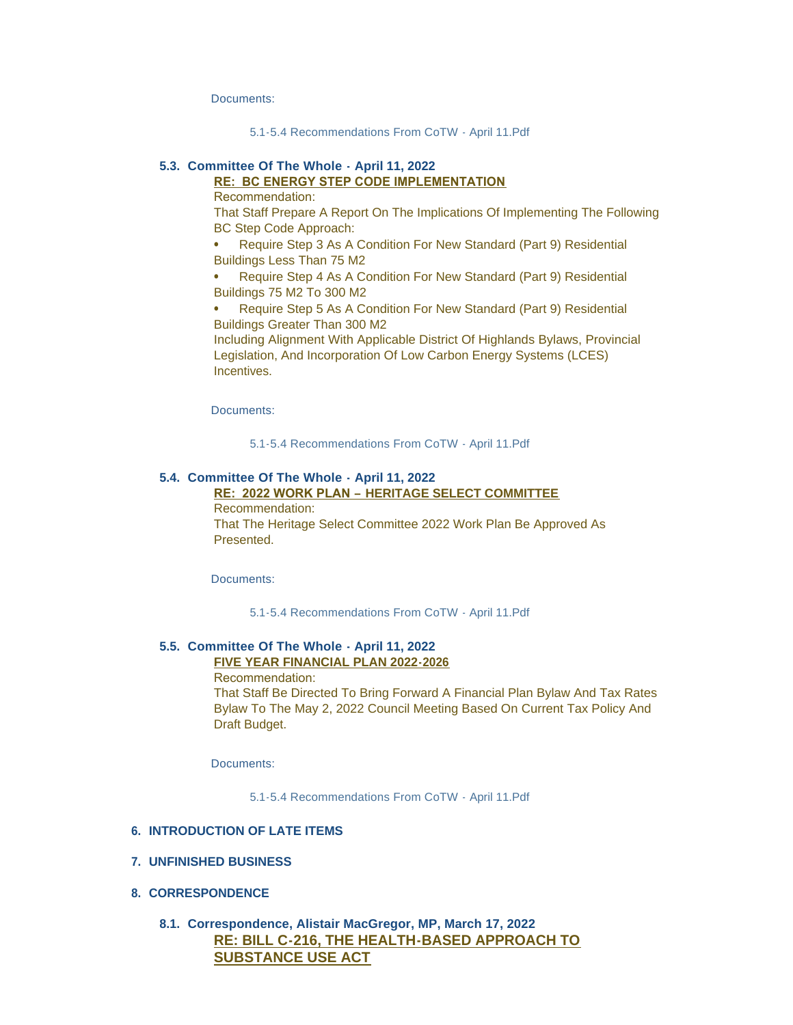Documents:

[5.1-5.4 Recommendations From CoTW -](https://www.highlands.ca/AgendaCenter/ViewFile/Item/7085?fileID=6710) April 11.Pdf

### **Committee Of The Whole - April 11, 2022 5.3.**

# **RE: BC ENERGY STEP CODE IMPLEMENTATION**

Recommendation:

That Staff Prepare A Report On The Implications Of Implementing The Following BC Step Code Approach:

⦁ Require Step 3 As A Condition For New Standard (Part 9) Residential Buildings Less Than 75 M2

⦁ Require Step 4 As A Condition For New Standard (Part 9) Residential Buildings 75 M2 To 300 M2

⦁ Require Step 5 As A Condition For New Standard (Part 9) Residential Buildings Greater Than 300 M2

Including Alignment With Applicable District Of Highlands Bylaws, Provincial Legislation, And Incorporation Of Low Carbon Energy Systems (LCES) Incentives.

Documents:

[5.1-5.4 Recommendations From CoTW -](https://www.highlands.ca/AgendaCenter/ViewFile/Item/7086?fileID=6711) April 11.Pdf

### **Committee Of The Whole - April 11, 2022 5.4.**

# **RE: 2022 WORK PLAN – HERITAGE SELECT COMMITTEE**

Recommendation: That The Heritage Select Committee 2022 Work Plan Be Approved As Presented.

Documents:

[5.1-5.4 Recommendations From CoTW -](https://www.highlands.ca/AgendaCenter/ViewFile/Item/7087?fileID=6712) April 11.Pdf

### **Committee Of The Whole - April 11, 2022 5.5.**

**FIVE YEAR FINANCIAL PLAN 2022-2026**

Recommendation:

That Staff Be Directed To Bring Forward A Financial Plan Bylaw And Tax Rates Bylaw To The May 2, 2022 Council Meeting Based On Current Tax Policy And Draft Budget.

Documents:

[5.1-5.4 Recommendations From CoTW - April 11.Pdf](https://www.highlands.ca/AgendaCenter/ViewFile/Item/7088?fileID=6713)

#### **INTRODUCTION OF LATE ITEMS 6.**

#### **UNFINISHED BUSINESS 7.**

#### **CORRESPONDENCE 8.**

# **Correspondence, Alistair MacGregor, MP, March 17, 2022 8.1. RE: BILL C-216, THE HEALTH-BASED APPROACH TO SUBSTANCE USE ACT**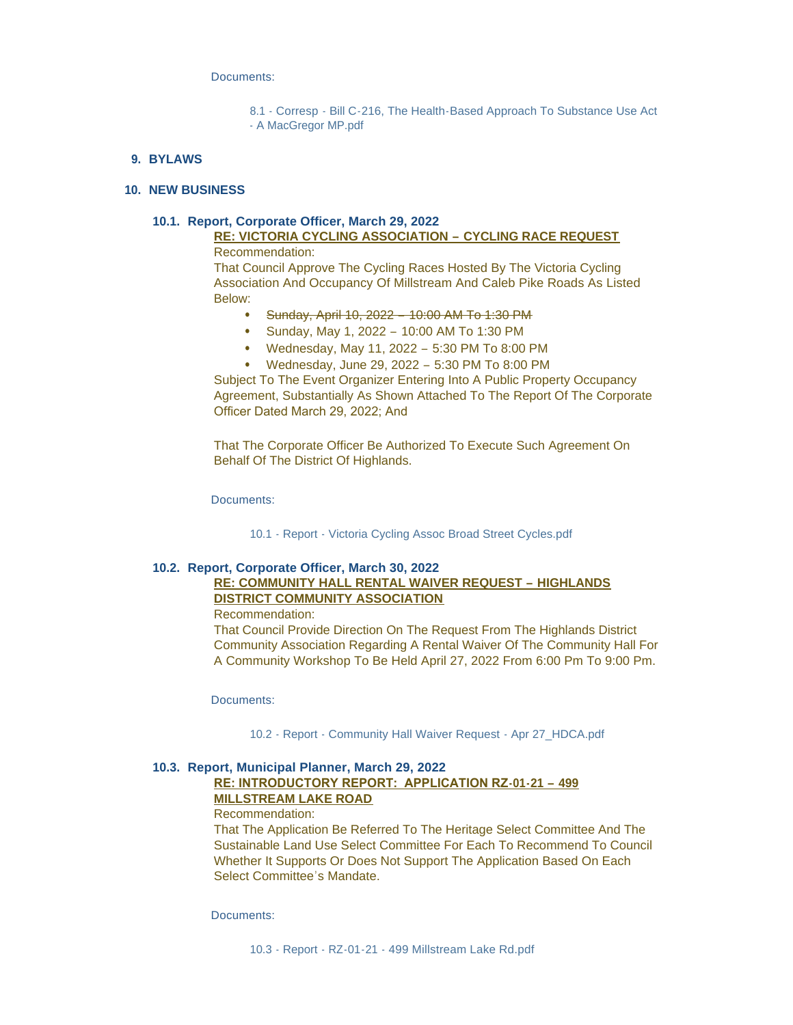Documents:

8.1 - Corresp - [Bill C-216, The Health-Based Approach To Substance Use Act](https://www.highlands.ca/AgendaCenter/ViewFile/Item/7071?fileID=6719)  - A MacGregor MP.pdf

### **BYLAWS 9.**

### **NEW BUSINESS 10.**

#### **Report, Corporate Officer, March 29, 2022 10.1.**

### **RE: VICTORIA CYCLING ASSOCIATION – CYCLING RACE REQUEST** Recommendation:

That Council Approve The Cycling Races Hosted By The Victoria Cycling Association And Occupancy Of Millstream And Caleb Pike Roads As Listed Below:

- ⦁ Sunday, April 10, 2022 10:00 AM To 1:30 PM
- ⦁ Sunday, May 1, 2022 10:00 AM To 1:30 PM
- ⦁ Wednesday, May 11, 2022 5:30 PM To 8:00 PM
- ⦁ Wednesday, June 29, 2022 5:30 PM To 8:00 PM

Subject To The Event Organizer Entering Into A Public Property Occupancy Agreement, Substantially As Shown Attached To The Report Of The Corporate Officer Dated March 29, 2022; And

That The Corporate Officer Be Authorized To Execute Such Agreement On Behalf Of The District Of Highlands.

Documents:

10.1 - Report - [Victoria Cycling Assoc Broad Street Cycles.pdf](https://www.highlands.ca/AgendaCenter/ViewFile/Item/7072?fileID=6714)

### **Report, Corporate Officer, March 30, 2022 10.2.**

# **RE: COMMUNITY HALL RENTAL WAIVER REQUEST – HIGHLANDS DISTRICT COMMUNITY ASSOCIATION**

Recommendation:

That Council Provide Direction On The Request From The Highlands District Community Association Regarding A Rental Waiver Of The Community Hall For A Community Workshop To Be Held April 27, 2022 From 6:00 Pm To 9:00 Pm.

Documents:

10.2 - Report - [Community Hall Waiver Request -](https://www.highlands.ca/AgendaCenter/ViewFile/Item/7073?fileID=6715) Apr 27\_HDCA.pdf

### **Report, Municipal Planner, March 29, 2022 10.3.**

# **RE: INTRODUCTORY REPORT: APPLICATION RZ-01-21 – 499 MILLSTREAM LAKE ROAD**

Recommendation:

That The Application Be Referred To The Heritage Select Committee And The Sustainable Land Use Select Committee For Each To Recommend To Council Whether It Supports Or Does Not Support The Application Based On Each Select Committee's Mandate.

Documents: